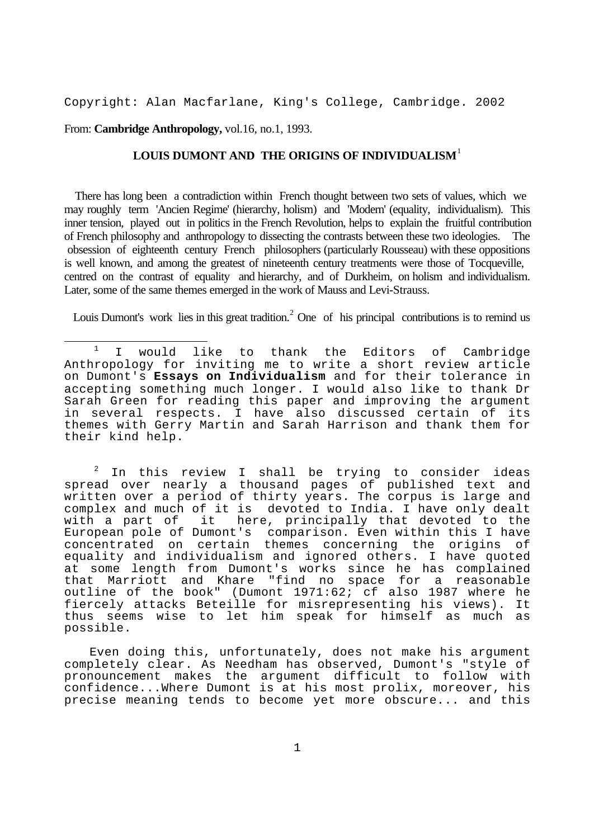Copyright: Alan Macfarlane, King's College, Cambridge. 2002

From: **Cambridge Anthropology,** vol.16, no.1, 1993.

# **LOUIS DUMONT AND THE ORIGINS OF INDIVIDUALISM**<sup>1</sup>

 There has long been a contradiction within French thought between two sets of values, which we may roughly term 'Ancien Regime' (hierarchy, holism) and 'Modern' (equality, individualism). This inner tension, played out in politics in the French Revolution, helps to explain the fruitful contribution of French philosophy and anthropology to dissecting the contrasts between these two ideologies. The obsession of eighteenth century French philosophers (particularly Rousseau) with these oppositions is well known, and among the greatest of nineteenth century treatments were those of Tocqueville, centred on the contrast of equality and hierarchy, and of Durkheim, on holism and individualism. Later, some of the same themes emerged in the work of Mauss and Levi-Strauss.

Louis Dumont's work lies in this great tradition.<sup>2</sup> One of his principal contributions is to remind us

 $2$  In this review I shall be trying to consider ideas spread over nearly a thousand pages of published text and written over a period of thirty years. The corpus is large and complex and much of it is devoted to India. I have only dealt<br>with a part of it here, principally that devoted to the here, principally that devoted to the European pole of Dumont's comparison. Even within this I have concentrated on certain themes concerning the origins of equality and individualism and ignored others. I have quoted at some length from Dumont's works since he has complained that Marriott and Khare "find no space for a reasonable outline of the book" (Dumont 1971:62; cf also 1987 where he fiercely attacks Beteille for misrepresenting his views). It thus seems wise to let him speak for himself as much as possible.

 Even doing this, unfortunately, does not make his argument completely clear. As Needham has observed, Dumont's "style of pronouncement makes the argument difficult to follow with confidence...Where Dumont is at his most prolix, moreover, his precise meaning tends to become yet more obscure... and this

i<br>L <sup>1</sup> I would like to thank the Editors of Cambridge Anthropology for inviting me to write a short review article on Dumont's **Essays on Individualism** and for their tolerance in accepting something much longer. I would also like to thank Dr Sarah Green for reading this paper and improving the argument in several respects. I have also discussed certain of its themes with Gerry Martin and Sarah Harrison and thank them for their kind help.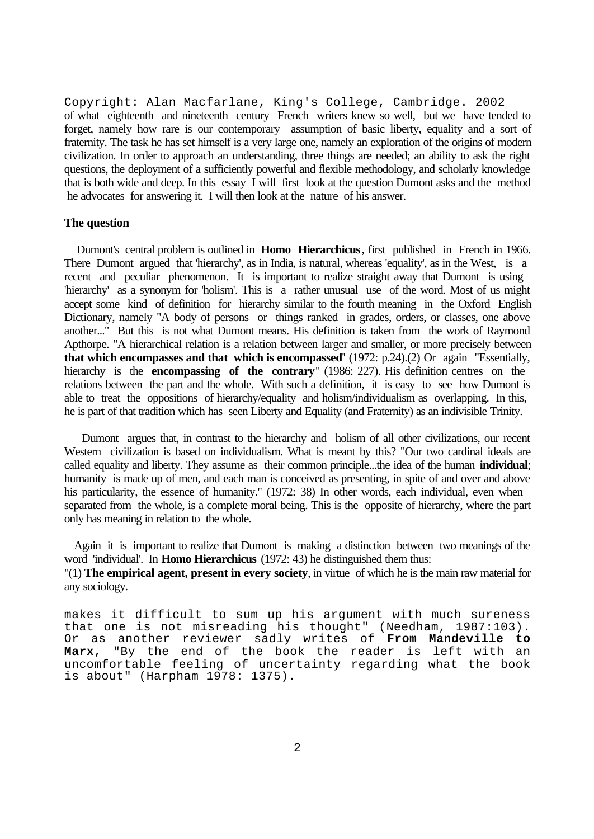Copyright: Alan Macfarlane, King's College, Cambridge. 2002 of what eighteenth and nineteenth century French writers knew so well, but we have tended to forget, namely how rare is our contemporary assumption of basic liberty, equality and a sort of fraternity. The task he has set himself is a very large one, namely an exploration of the origins of modern civilization. In order to approach an understanding, three things are needed; an ability to ask the right questions, the deployment of a sufficiently powerful and flexible methodology, and scholarly knowledge that is both wide and deep. In this essay I will first look at the question Dumont asks and the method he advocates for answering it. I will then look at the nature of his answer.

### **The question**

 Dumont's central problem is outlined in **Homo Hierarchicus**, first published in French in 1966. There Dumont argued that 'hierarchy', as in India, is natural, whereas 'equality', as in the West, is a recent and peculiar phenomenon. It is important to realize straight away that Dumont is using 'hierarchy' as a synonym for 'holism'. This is a rather unusual use of the word. Most of us might accept some kind of definition for hierarchy similar to the fourth meaning in the Oxford English Dictionary, namely "A body of persons or things ranked in grades, orders, or classes, one above another..." But this is not what Dumont means. His definition is taken from the work of Raymond Apthorpe. "A hierarchical relation is a relation between larger and smaller, or more precisely between **that which encompasses and that which is encompassed**" (1972: p.24).(2) Or again "Essentially, hierarchy is the **encompassing of the contrary**" (1986: 227). His definition centres on the relations between the part and the whole. With such a definition, it is easy to see how Dumont is able to treat the oppositions of hierarchy/equality and holism/individualism as overlapping. In this, he is part of that tradition which has seen Liberty and Equality (and Fraternity) as an indivisible Trinity.

 Dumont argues that, in contrast to the hierarchy and holism of all other civilizations, our recent Western civilization is based on individualism. What is meant by this? "Our two cardinal ideals are called equality and liberty. They assume as their common principle...the idea of the human **individual**; humanity is made up of men, and each man is conceived as presenting, in spite of and over and above his particularity, the essence of humanity." (1972: 38) In other words, each individual, even when separated from the whole, is a complete moral being. This is the opposite of hierarchy, where the part only has meaning in relation to the whole.

 Again it is important to realize that Dumont is making a distinction between two meanings of the word 'individual'. In **Homo Hierarchicus** (1972: 43) he distinguished them thus: "(1) **The empirical agent, present in every society**, in virtue of which he is the main raw material for any sociology.

i<br>L makes it difficult to sum up his argument with much sureness<br>that one is not misreading his thought" (Needham, 1987:103). that one is not misreading his thought" Or as another reviewer sadly writes of **From Mandeville to Marx**, "By the end of the book the reader is left with an uncomfortable feeling of uncertainty regarding what the book is about" (Harpham 1978: 1375).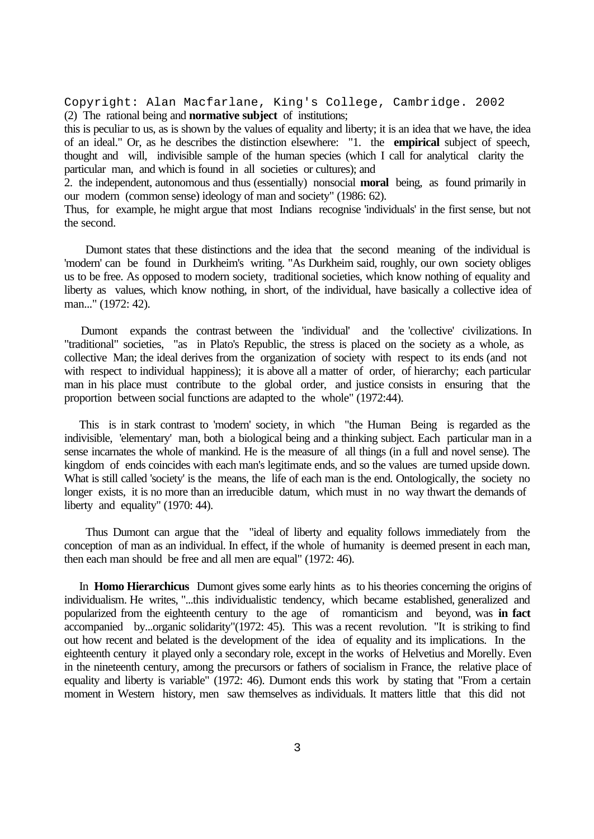Copyright: Alan Macfarlane, King's College, Cambridge. 2002 (2) The rational being and **normative subject** of institutions;

this is peculiar to us, as is shown by the values of equality and liberty; it is an idea that we have, the idea of an ideal." Or, as he describes the distinction elsewhere: "1. the **empirical** subject of speech, thought and will, indivisible sample of the human species (which I call for analytical clarity the particular man, and which is found in all societies or cultures); and

2. the independent, autonomous and thus (essentially) nonsocial **moral** being, as found primarily in our modern (common sense) ideology of man and society" (1986: 62).

Thus, for example, he might argue that most Indians recognise 'individuals' in the first sense, but not the second.

 Dumont states that these distinctions and the idea that the second meaning of the individual is 'modern' can be found in Durkheim's writing. "As Durkheim said, roughly, our own society obliges us to be free. As opposed to modern society, traditional societies, which know nothing of equality and liberty as values, which know nothing, in short, of the individual, have basically a collective idea of man..." (1972: 42).

 Dumont expands the contrast between the 'individual' and the 'collective' civilizations. In "traditional" societies, "as in Plato's Republic, the stress is placed on the society as a whole, as collective Man; the ideal derives from the organization of society with respect to its ends (and not with respect to individual happiness); it is above all a matter of order, of hierarchy; each particular man in his place must contribute to the global order, and justice consists in ensuring that the proportion between social functions are adapted to the whole" (1972:44).

 This is in stark contrast to 'modern' society, in which "the Human Being is regarded as the indivisible, 'elementary' man, both a biological being and a thinking subject. Each particular man in a sense incarnates the whole of mankind. He is the measure of all things (in a full and novel sense). The kingdom of ends coincides with each man's legitimate ends, and so the values are turned upside down. What is still called 'society' is the means, the life of each man is the end. Ontologically, the society no longer exists, it is no more than an irreducible datum, which must in no way thwart the demands of liberty and equality" (1970: 44).

 Thus Dumont can argue that the "ideal of liberty and equality follows immediately from the conception of man as an individual. In effect, if the whole of humanity is deemed present in each man, then each man should be free and all men are equal" (1972: 46).

 In **Homo Hierarchicus** Dumont gives some early hints as to his theories concerning the origins of individualism. He writes, "...this individualistic tendency, which became established, generalized and popularized from the eighteenth century to the age of romanticism and beyond, was **in fact** accompanied by...organic solidarity"(1972: 45). This was a recent revolution. "It is striking to find out how recent and belated is the development of the idea of equality and its implications. In the eighteenth century it played only a secondary role, except in the works of Helvetius and Morelly. Even in the nineteenth century, among the precursors or fathers of socialism in France, the relative place of equality and liberty is variable" (1972: 46). Dumont ends this work by stating that "From a certain moment in Western history, men saw themselves as individuals. It matters little that this did not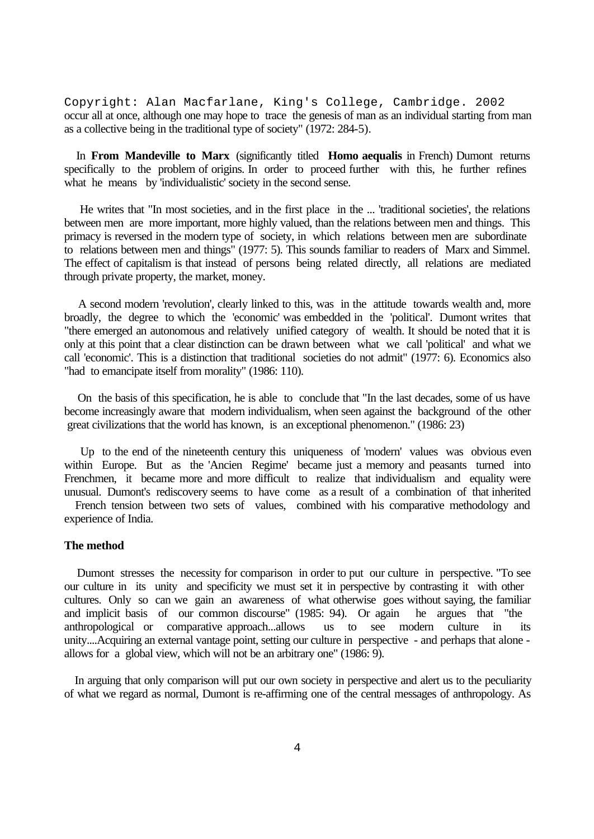Copyright: Alan Macfarlane, King's College, Cambridge. 2002 occur all at once, although one may hope to trace the genesis of man as an individual starting from man as a collective being in the traditional type of society" (1972: 284-5).

 In **From Mandeville to Marx** (significantly titled **Homo aequalis** in French) Dumont returns specifically to the problem of origins. In order to proceed further with this, he further refines what he means by 'individualistic' society in the second sense.

 He writes that "In most societies, and in the first place in the ... 'traditional societies', the relations between men are more important, more highly valued, than the relations between men and things. This primacy is reversed in the modern type of society, in which relations between men are subordinate to relations between men and things" (1977: 5). This sounds familiar to readers of Marx and Simmel. The effect of capitalism is that instead of persons being related directly, all relations are mediated through private property, the market, money.

 A second modern 'revolution', clearly linked to this, was in the attitude towards wealth and, more broadly, the degree to which the 'economic' was embedded in the 'political'. Dumont writes that "there emerged an autonomous and relatively unified category of wealth. It should be noted that it is only at this point that a clear distinction can be drawn between what we call 'political' and what we call 'economic'. This is a distinction that traditional societies do not admit" (1977: 6). Economics also "had to emancipate itself from morality" (1986: 110).

 On the basis of this specification, he is able to conclude that "In the last decades, some of us have become increasingly aware that modern individualism, when seen against the background of the other great civilizations that the world has known, is an exceptional phenomenon." (1986: 23)

 Up to the end of the nineteenth century this uniqueness of 'modern' values was obvious even within Europe. But as the 'Ancien Regime' became just a memory and peasants turned into Frenchmen, it became more and more difficult to realize that individualism and equality were unusual. Dumont's rediscovery seems to have come as a result of a combination of that inherited French tension between two sets of values, combined with his comparative methodology and

experience of India.

#### **The method**

 Dumont stresses the necessity for comparison in order to put our culture in perspective. "To see our culture in its unity and specificity we must set it in perspective by contrasting it with other cultures. Only so can we gain an awareness of what otherwise goes without saying, the familiar and implicit basis of our common discourse" (1985: 94). Or again he argues that "the anthropological or comparative approach...allows us to see modern culture in its unity....Acquiring an external vantage point, setting our culture in perspective - and perhaps that alone allows for a global view, which will not be an arbitrary one" (1986: 9).

 In arguing that only comparison will put our own society in perspective and alert us to the peculiarity of what we regard as normal, Dumont is re-affirming one of the central messages of anthropology. As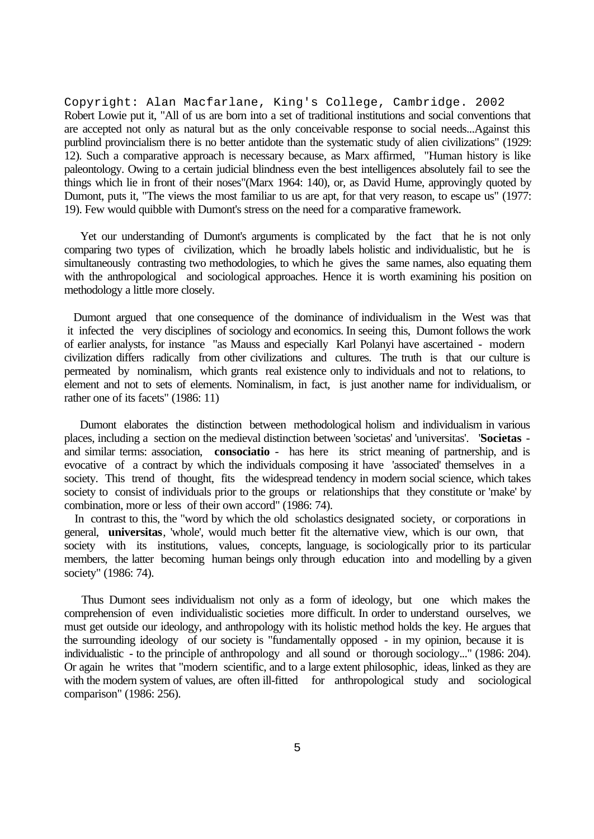Copyright: Alan Macfarlane, King's College, Cambridge. 2002 Robert Lowie put it, "All of us are born into a set of traditional institutions and social conventions that are accepted not only as natural but as the only conceivable response to social needs...Against this purblind provincialism there is no better antidote than the systematic study of alien civilizations" (1929: 12). Such a comparative approach is necessary because, as Marx affirmed, "Human history is like paleontology. Owing to a certain judicial blindness even the best intelligences absolutely fail to see the things which lie in front of their noses"(Marx 1964: 140), or, as David Hume, approvingly quoted by Dumont, puts it, "The views the most familiar to us are apt, for that very reason, to escape us" (1977: 19). Few would quibble with Dumont's stress on the need for a comparative framework.

 Yet our understanding of Dumont's arguments is complicated by the fact that he is not only comparing two types of civilization, which he broadly labels holistic and individualistic, but he is simultaneously contrasting two methodologies, to which he gives the same names, also equating them with the anthropological and sociological approaches. Hence it is worth examining his position on methodology a little more closely.

 Dumont argued that one consequence of the dominance of individualism in the West was that it infected the very disciplines of sociology and economics. In seeing this, Dumont follows the work of earlier analysts, for instance "as Mauss and especially Karl Polanyi have ascertained - modern civilization differs radically from other civilizations and cultures. The truth is that our culture is permeated by nominalism, which grants real existence only to individuals and not to relations, to element and not to sets of elements. Nominalism, in fact, is just another name for individualism, or rather one of its facets" (1986: 11)

 Dumont elaborates the distinction between methodological holism and individualism in various places, including a section on the medieval distinction between 'societas' and 'universitas'. "**Societas** and similar terms: association, **consociatio** - has here its strict meaning of partnership, and is evocative of a contract by which the individuals composing it have 'associated' themselves in a society. This trend of thought, fits the widespread tendency in modern social science, which takes society to consist of individuals prior to the groups or relationships that they constitute or 'make' by combination, more or less of their own accord" (1986: 74).

 In contrast to this, the "word by which the old scholastics designated society, or corporations in general, **universitas**, 'whole', would much better fit the alternative view, which is our own, that society with its institutions, values, concepts, language, is sociologically prior to its particular members, the latter becoming human beings only through education into and modelling by a given society" (1986: 74).

 Thus Dumont sees individualism not only as a form of ideology, but one which makes the comprehension of even individualistic societies more difficult. In order to understand ourselves, we must get outside our ideology, and anthropology with its holistic method holds the key. He argues that the surrounding ideology of our society is "fundamentally opposed - in my opinion, because it is individualistic - to the principle of anthropology and all sound or thorough sociology..." (1986: 204). Or again he writes that "modern scientific, and to a large extent philosophic, ideas, linked as they are with the modern system of values, are often ill-fitted for anthropological study and sociological comparison" (1986: 256).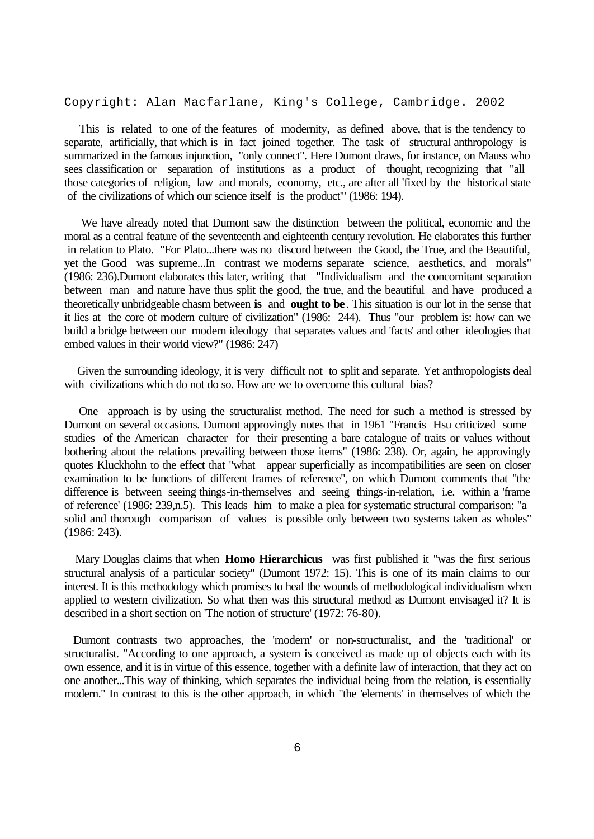Copyright: Alan Macfarlane, King's College, Cambridge. 2002

 This is related to one of the features of modernity, as defined above, that is the tendency to separate, artificially, that which is in fact joined together. The task of structural anthropology is summarized in the famous injunction, "only connect". Here Dumont draws, for instance, on Mauss who sees classification or separation of institutions as a product of thought, recognizing that "all those categories of religion, law and morals, economy, etc., are after all 'fixed by the historical state of the civilizations of which our science itself is the product'" (1986: 194).

 We have already noted that Dumont saw the distinction between the political, economic and the moral as a central feature of the seventeenth and eighteenth century revolution. He elaborates this further in relation to Plato. "For Plato...there was no discord between the Good, the True, and the Beautiful, yet the Good was supreme...In contrast we moderns separate science, aesthetics, and morals" (1986: 236).Dumont elaborates this later, writing that "Individualism and the concomitant separation between man and nature have thus split the good, the true, and the beautiful and have produced a theoretically unbridgeable chasm between **is** and **ought to be**. This situation is our lot in the sense that it lies at the core of modern culture of civilization" (1986: 244). Thus "our problem is: how can we build a bridge between our modern ideology that separates values and 'facts' and other ideologies that embed values in their world view?" (1986: 247)

 Given the surrounding ideology, it is very difficult not to split and separate. Yet anthropologists deal with civilizations which do not do so. How are we to overcome this cultural bias?

 One approach is by using the structuralist method. The need for such a method is stressed by Dumont on several occasions. Dumont approvingly notes that in 1961 "Francis Hsu criticized some studies of the American character for their presenting a bare catalogue of traits or values without bothering about the relations prevailing between those items" (1986: 238). Or, again, he approvingly quotes Kluckhohn to the effect that "what appear superficially as incompatibilities are seen on closer examination to be functions of different frames of reference", on which Dumont comments that "the difference is between seeing things-in-themselves and seeing things-in-relation, i.e. within a 'frame of reference' (1986: 239,n.5). This leads him to make a plea for systematic structural comparison: "a solid and thorough comparison of values is possible only between two systems taken as wholes" (1986: 243).

 Mary Douglas claims that when **Homo Hierarchicus** was first published it "was the first serious structural analysis of a particular society" (Dumont 1972: 15). This is one of its main claims to our interest. It is this methodology which promises to heal the wounds of methodological individualism when applied to western civilization. So what then was this structural method as Dumont envisaged it? It is described in a short section on 'The notion of structure' (1972: 76-80).

 Dumont contrasts two approaches, the 'modern' or non-structuralist, and the 'traditional' or structuralist. "According to one approach, a system is conceived as made up of objects each with its own essence, and it is in virtue of this essence, together with a definite law of interaction, that they act on one another...This way of thinking, which separates the individual being from the relation, is essentially modern." In contrast to this is the other approach, in which "the 'elements' in themselves of which the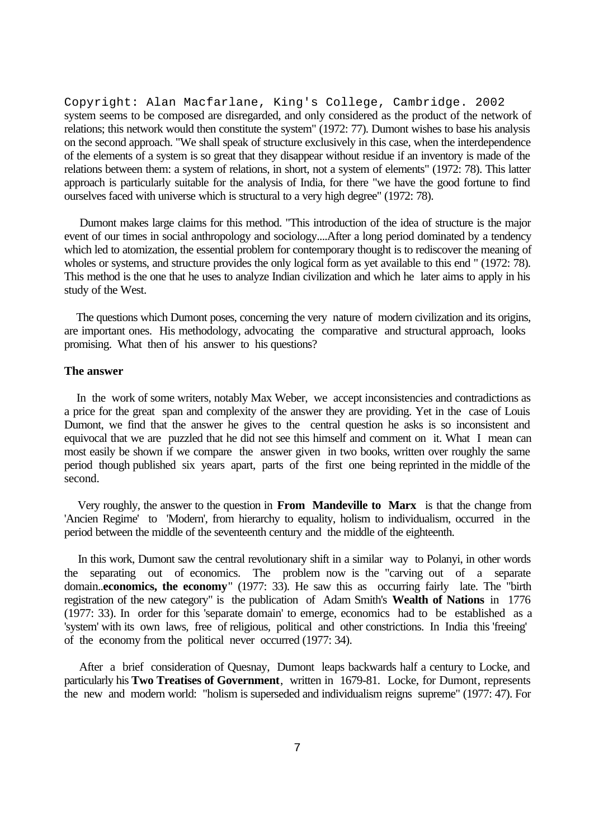Copyright: Alan Macfarlane, King's College, Cambridge. 2002 system seems to be composed are disregarded, and only considered as the product of the network of relations; this network would then constitute the system" (1972: 77). Dumont wishes to base his analysis on the second approach. "We shall speak of structure exclusively in this case, when the interdependence of the elements of a system is so great that they disappear without residue if an inventory is made of the relations between them: a system of relations, in short, not a system of elements" (1972: 78). This latter approach is particularly suitable for the analysis of India, for there "we have the good fortune to find ourselves faced with universe which is structural to a very high degree" (1972: 78).

 Dumont makes large claims for this method. "This introduction of the idea of structure is the major event of our times in social anthropology and sociology....After a long period dominated by a tendency which led to atomization, the essential problem for contemporary thought is to rediscover the meaning of wholes or systems, and structure provides the only logical form as yet available to this end " (1972: 78). This method is the one that he uses to analyze Indian civilization and which he later aims to apply in his study of the West.

 The questions which Dumont poses, concerning the very nature of modern civilization and its origins, are important ones. His methodology, advocating the comparative and structural approach, looks promising. What then of his answer to his questions?

## **The answer**

 In the work of some writers, notably Max Weber, we accept inconsistencies and contradictions as a price for the great span and complexity of the answer they are providing. Yet in the case of Louis Dumont, we find that the answer he gives to the central question he asks is so inconsistent and equivocal that we are puzzled that he did not see this himself and comment on it. What I mean can most easily be shown if we compare the answer given in two books, written over roughly the same period though published six years apart, parts of the first one being reprinted in the middle of the second.

 Very roughly, the answer to the question in **From Mandeville to Marx** is that the change from 'Ancien Regime' to 'Modern', from hierarchy to equality, holism to individualism, occurred in the period between the middle of the seventeenth century and the middle of the eighteenth.

 In this work, Dumont saw the central revolutionary shift in a similar way to Polanyi, in other words the separating out of economics. The problem now is the "carving out of a separate domain..**economics, the economy**" (1977: 33). He saw this as occurring fairly late. The "birth registration of the new category" is the publication of Adam Smith's **Wealth of Nations** in 1776 (1977: 33). In order for this 'separate domain' to emerge, economics had to be established as a 'system' with its own laws, free of religious, political and other constrictions. In India this 'freeing' of the economy from the political never occurred (1977: 34).

 After a brief consideration of Quesnay, Dumont leaps backwards half a century to Locke, and particularly his **Two Treatises of Government**, written in 1679-81. Locke, for Dumont, represents the new and modern world: "holism is superseded and individualism reigns supreme" (1977: 47). For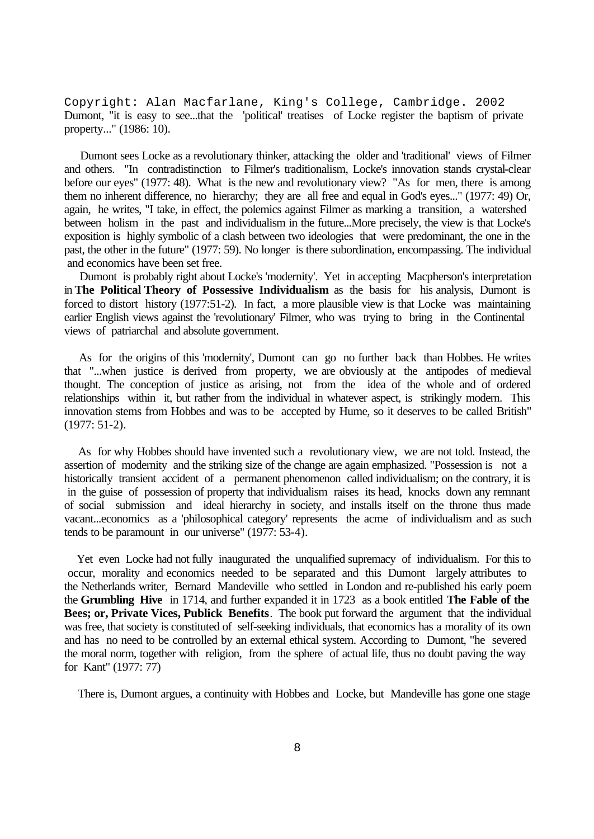Copyright: Alan Macfarlane, King's College, Cambridge. 2002 Dumont, "it is easy to see...that the 'political' treatises of Locke register the baptism of private property..." (1986: 10).

 Dumont sees Locke as a revolutionary thinker, attacking the older and 'traditional' views of Filmer and others. "In contradistinction to Filmer's traditionalism, Locke's innovation stands crystal-clear before our eyes" (1977: 48). What is the new and revolutionary view? "As for men, there is among them no inherent difference, no hierarchy; they are all free and equal in God's eyes..." (1977: 49) Or, again, he writes, "I take, in effect, the polemics against Filmer as marking a transition, a watershed between holism in the past and individualism in the future...More precisely, the view is that Locke's exposition is highly symbolic of a clash between two ideologies that were predominant, the one in the past, the other in the future" (1977: 59). No longer is there subordination, encompassing. The individual and economics have been set free.

 Dumont is probably right about Locke's 'modernity'. Yet in accepting Macpherson's interpretation in **The Political Theory of Possessive Individualism** as the basis for his analysis, Dumont is forced to distort history (1977:51-2). In fact, a more plausible view is that Locke was maintaining earlier English views against the 'revolutionary' Filmer, who was trying to bring in the Continental views of patriarchal and absolute government.

 As for the origins of this 'modernity', Dumont can go no further back than Hobbes. He writes that "...when justice is derived from property, we are obviously at the antipodes of medieval thought. The conception of justice as arising, not from the idea of the whole and of ordered relationships within it, but rather from the individual in whatever aspect, is strikingly modern. This innovation stems from Hobbes and was to be accepted by Hume, so it deserves to be called British" (1977: 51-2).

 As for why Hobbes should have invented such a revolutionary view, we are not told. Instead, the assertion of modernity and the striking size of the change are again emphasized. "Possession is not a historically transient accident of a permanent phenomenon called individualism; on the contrary, it is in the guise of possession of property that individualism raises its head, knocks down any remnant of social submission and ideal hierarchy in society, and installs itself on the throne thus made vacant...economics as a 'philosophical category' represents the acme of individualism and as such tends to be paramount in our universe" (1977: 53-4).

 Yet even Locke had not fully inaugurated the unqualified supremacy of individualism. For this to occur, morality and economics needed to be separated and this Dumont largely attributes to the Netherlands writer, Bernard Mandeville who settled in London and re-published his early poem the **Grumbling Hive** in 1714, and further expanded it in 1723 as a book entitled **The Fable of the Bees; or, Private Vices, Publick Benefits**. The book put forward the argument that the individual was free, that society is constituted of self-seeking individuals, that economics has a morality of its own and has no need to be controlled by an external ethical system. According to Dumont, "he severed the moral norm, together with religion, from the sphere of actual life, thus no doubt paving the way for Kant" (1977: 77)

There is, Dumont argues, a continuity with Hobbes and Locke, but Mandeville has gone one stage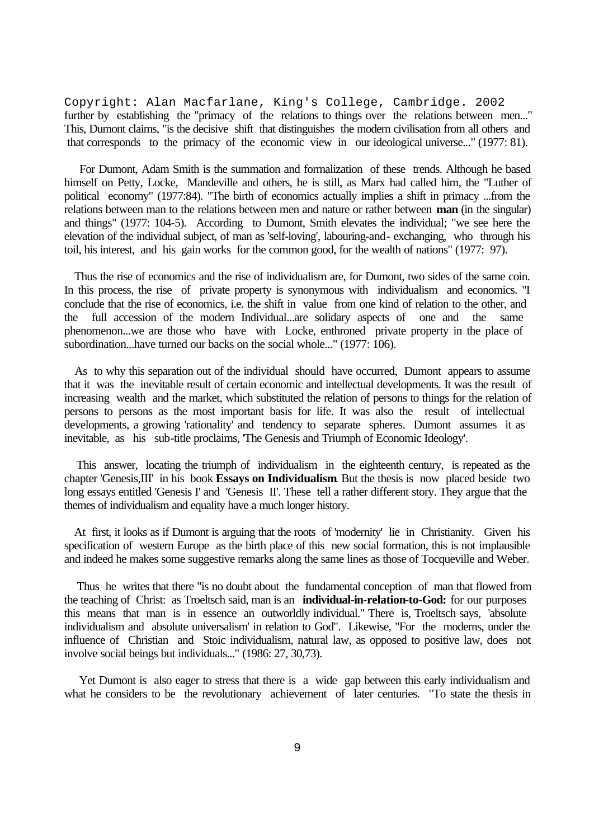Copyright: Alan Macfarlane, King's College, Cambridge. 2002 further by establishing the "primacy of the relations to things over the relations between men..." This, Dumont claims, "is the decisive shift that distinguishes the modern civilisation from all others and that corresponds to the primacy of the economic view in our ideological universe..." (1977: 81).

 For Dumont, Adam Smith is the summation and formalization of these trends. Although he based himself on Petty, Locke, Mandeville and others, he is still, as Marx had called him, the "Luther of political economy" (1977:84). "The birth of economics actually implies a shift in primacy ...from the relations between man to the relations between men and nature or rather between **man** (in the singular) and things" (1977: 104-5). According to Dumont, Smith elevates the individual; "we see here the elevation of the individual subject, of man as 'self-loving', labouring-and- exchanging, who through his toil, his interest, and his gain works for the common good, for the wealth of nations" (1977: 97).

 Thus the rise of economics and the rise of individualism are, for Dumont, two sides of the same coin. In this process, the rise of private property is synonymous with individualism and economics. "I conclude that the rise of economics, i.e. the shift in value from one kind of relation to the other, and the full accession of the modern Individual...are solidary aspects of one and the same phenomenon...we are those who have with Locke, enthroned private property in the place of subordination...have turned our backs on the social whole..." (1977: 106).

 As to why this separation out of the individual should have occurred, Dumont appears to assume that it was the inevitable result of certain economic and intellectual developments. It was the result of increasing wealth and the market, which substituted the relation of persons to things for the relation of persons to persons as the most important basis for life. It was also the result of intellectual developments, a growing 'rationality' and tendency to separate spheres. Dumont assumes it as inevitable, as his sub-title proclaims, 'The Genesis and Triumph of Economic Ideology'.

 This answer, locating the triumph of individualism in the eighteenth century, is repeated as the chapter 'Genesis,III' in his book **Essays on Individualism**. But the thesis is now placed beside two long essays entitled 'Genesis I' and 'Genesis II'. These tell a rather different story. They argue that the themes of individualism and equality have a much longer history.

 At first, it looks as if Dumont is arguing that the roots of 'modernity' lie in Christianity. Given his specification of western Europe as the birth place of this new social formation, this is not implausible and indeed he makes some suggestive remarks along the same lines as those of Tocqueville and Weber.

 Thus he writes that there "is no doubt about the fundamental conception of man that flowed from the teaching of Christ: as Troeltsch said, man is an **individual-in-relation-to-God:** for our purposes this means that man is in essence an outworldly individual." There is, Troeltsch says, 'absolute individualism and absolute universalism' in relation to God". Likewise, "For the moderns, under the influence of Christian and Stoic individualism, natural law, as opposed to positive law, does not involve social beings but individuals..." (1986: 27, 30,73).

 Yet Dumont is also eager to stress that there is a wide gap between this early individualism and what he considers to be the revolutionary achievement of later centuries. "To state the thesis in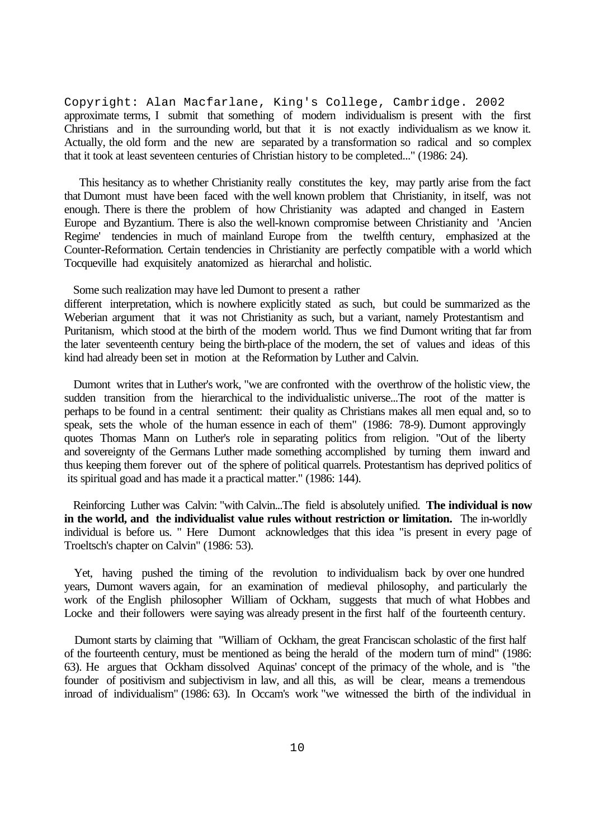Copyright: Alan Macfarlane, King's College, Cambridge. 2002 approximate terms, I submit that something of modern individualism is present with the first Christians and in the surrounding world, but that it is not exactly individualism as we know it. Actually, the old form and the new are separated by a transformation so radical and so complex that it took at least seventeen centuries of Christian history to be completed..." (1986: 24).

 This hesitancy as to whether Christianity really constitutes the key, may partly arise from the fact that Dumont must have been faced with the well known problem that Christianity, in itself, was not enough. There is there the problem of how Christianity was adapted and changed in Eastern Europe and Byzantium. There is also the well-known compromise between Christianity and 'Ancien Regime' tendencies in much of mainland Europe from the twelfth century, emphasized at the Counter-Reformation. Certain tendencies in Christianity are perfectly compatible with a world which Tocqueville had exquisitely anatomized as hierarchal and holistic.

Some such realization may have led Dumont to present a rather

different interpretation, which is nowhere explicitly stated as such, but could be summarized as the Weberian argument that it was not Christianity as such, but a variant, namely Protestantism and Puritanism, which stood at the birth of the modern world. Thus we find Dumont writing that far from the later seventeenth century being the birth-place of the modern, the set of values and ideas of this kind had already been set in motion at the Reformation by Luther and Calvin.

 Dumont writes that in Luther's work, "we are confronted with the overthrow of the holistic view, the sudden transition from the hierarchical to the individualistic universe...The root of the matter is perhaps to be found in a central sentiment: their quality as Christians makes all men equal and, so to speak, sets the whole of the human essence in each of them" (1986: 78-9). Dumont approvingly quotes Thomas Mann on Luther's role in separating politics from religion. "Out of the liberty and sovereignty of the Germans Luther made something accomplished by turning them inward and thus keeping them forever out of the sphere of political quarrels. Protestantism has deprived politics of its spiritual goad and has made it a practical matter." (1986: 144).

 Reinforcing Luther was Calvin: "with Calvin...The field is absolutely unified. **The individual is now in the world, and the individualist value rules without restriction or limitation.** The in-worldly individual is before us. " Here Dumont acknowledges that this idea "is present in every page of Troeltsch's chapter on Calvin" (1986: 53).

 Yet, having pushed the timing of the revolution to individualism back by over one hundred years, Dumont wavers again, for an examination of medieval philosophy, and particularly the work of the English philosopher William of Ockham, suggests that much of what Hobbes and Locke and their followers were saying was already present in the first half of the fourteenth century.

 Dumont starts by claiming that "William of Ockham, the great Franciscan scholastic of the first half of the fourteenth century, must be mentioned as being the herald of the modern turn of mind" (1986: 63). He argues that Ockham dissolved Aquinas' concept of the primacy of the whole, and is "the founder of positivism and subjectivism in law, and all this, as will be clear, means a tremendous inroad of individualism" (1986: 63). In Occam's work "we witnessed the birth of the individual in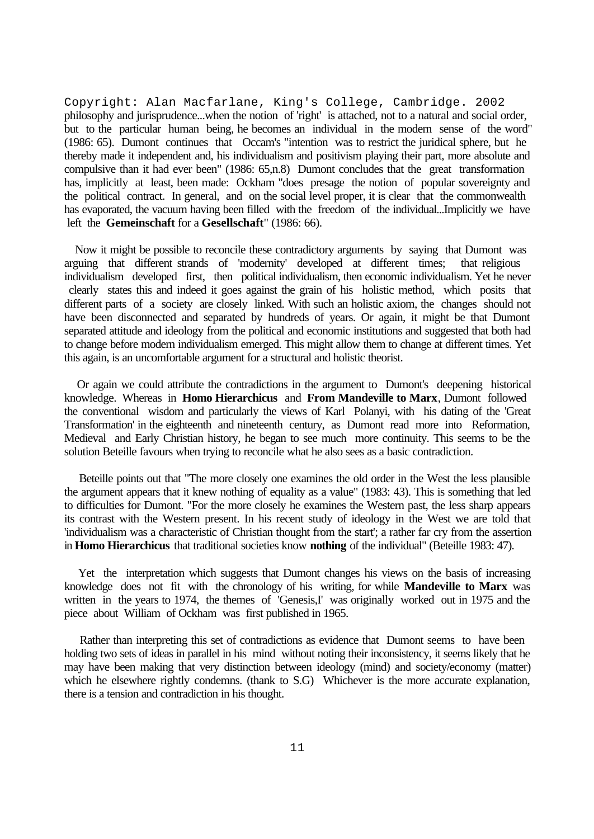Copyright: Alan Macfarlane, King's College, Cambridge. 2002 philosophy and jurisprudence...when the notion of 'right' is attached, not to a natural and social order, but to the particular human being, he becomes an individual in the modern sense of the word" (1986: 65). Dumont continues that Occam's "intention was to restrict the juridical sphere, but he thereby made it independent and, his individualism and positivism playing their part, more absolute and compulsive than it had ever been" (1986: 65,n.8) Dumont concludes that the great transformation has, implicitly at least, been made: Ockham "does presage the notion of popular sovereignty and the political contract. In general, and on the social level proper, it is clear that the commonwealth has evaporated, the vacuum having been filled with the freedom of the individual...Implicitly we have left the **Gemeinschaft** for a **Gesellschaft**" (1986: 66).

 Now it might be possible to reconcile these contradictory arguments by saying that Dumont was arguing that different strands of 'modernity' developed at different times; that religious individualism developed first, then political individualism, then economic individualism. Yet he never clearly states this and indeed it goes against the grain of his holistic method, which posits that different parts of a society are closely linked. With such an holistic axiom, the changes should not have been disconnected and separated by hundreds of years. Or again, it might be that Dumont separated attitude and ideology from the political and economic institutions and suggested that both had to change before modern individualism emerged. This might allow them to change at different times. Yet this again, is an uncomfortable argument for a structural and holistic theorist.

 Or again we could attribute the contradictions in the argument to Dumont's deepening historical knowledge. Whereas in **Homo Hierarchicus** and **From Mandeville to Marx**, Dumont followed the conventional wisdom and particularly the views of Karl Polanyi, with his dating of the 'Great Transformation' in the eighteenth and nineteenth century, as Dumont read more into Reformation, Medieval and Early Christian history, he began to see much more continuity. This seems to be the solution Beteille favours when trying to reconcile what he also sees as a basic contradiction.

 Beteille points out that "The more closely one examines the old order in the West the less plausible the argument appears that it knew nothing of equality as a value" (1983: 43). This is something that led to difficulties for Dumont. "For the more closely he examines the Western past, the less sharp appears its contrast with the Western present. In his recent study of ideology in the West we are told that 'individualism was a characteristic of Christian thought from the start'; a rather far cry from the assertion in **Homo Hierarchicus** that traditional societies know **nothing** of the individual" (Beteille 1983: 47).

 Yet the interpretation which suggests that Dumont changes his views on the basis of increasing knowledge does not fit with the chronology of his writing, for while **Mandeville to Marx** was written in the years to 1974, the themes of 'Genesis,I' was originally worked out in 1975 and the piece about William of Ockham was first published in 1965.

 Rather than interpreting this set of contradictions as evidence that Dumont seems to have been holding two sets of ideas in parallel in his mind without noting their inconsistency, it seems likely that he may have been making that very distinction between ideology (mind) and society/economy (matter) which he elsewhere rightly condemns. (thank to S.G) Whichever is the more accurate explanation, there is a tension and contradiction in his thought.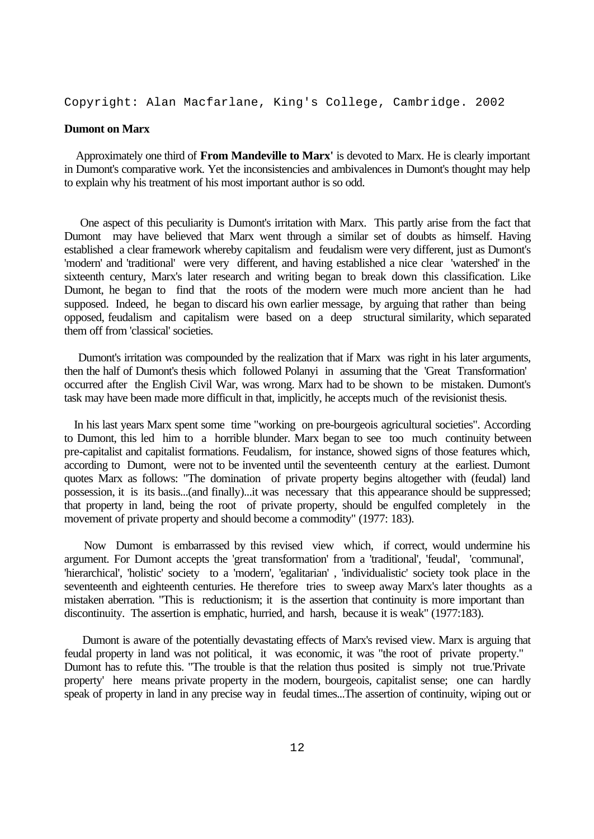Copyright: Alan Macfarlane, King's College, Cambridge. 2002

## **Dumont on Marx**

 Approximately one third of **From Mandeville to Marx'** is devoted to Marx. He is clearly important in Dumont's comparative work. Yet the inconsistencies and ambivalences in Dumont's thought may help to explain why his treatment of his most important author is so odd.

 One aspect of this peculiarity is Dumont's irritation with Marx. This partly arise from the fact that Dumont may have believed that Marx went through a similar set of doubts as himself. Having established a clear framework whereby capitalism and feudalism were very different, just as Dumont's 'modern' and 'traditional' were very different, and having established a nice clear 'watershed' in the sixteenth century, Marx's later research and writing began to break down this classification. Like Dumont, he began to find that the roots of the modern were much more ancient than he had supposed. Indeed, he began to discard his own earlier message, by arguing that rather than being opposed, feudalism and capitalism were based on a deep structural similarity, which separated them off from 'classical' societies.

 Dumont's irritation was compounded by the realization that if Marx was right in his later arguments, then the half of Dumont's thesis which followed Polanyi in assuming that the 'Great Transformation' occurred after the English Civil War, was wrong. Marx had to be shown to be mistaken. Dumont's task may have been made more difficult in that, implicitly, he accepts much of the revisionist thesis.

 In his last years Marx spent some time "working on pre-bourgeois agricultural societies". According to Dumont, this led him to a horrible blunder. Marx began to see too much continuity between pre-capitalist and capitalist formations. Feudalism, for instance, showed signs of those features which, according to Dumont, were not to be invented until the seventeenth century at the earliest. Dumont quotes Marx as follows: "The domination of private property begins altogether with (feudal) land possession, it is its basis...(and finally)...it was necessary that this appearance should be suppressed; that property in land, being the root of private property, should be engulfed completely in the movement of private property and should become a commodity" (1977: 183).

 Now Dumont is embarrassed by this revised view which, if correct, would undermine his argument. For Dumont accepts the 'great transformation' from a 'traditional', 'feudal', 'communal', 'hierarchical', 'holistic' society to a 'modern', 'egalitarian' , 'individualistic' society took place in the seventeenth and eighteenth centuries. He therefore tries to sweep away Marx's later thoughts as a mistaken aberration. "This is reductionism; it is the assertion that continuity is more important than discontinuity. The assertion is emphatic, hurried, and harsh, because it is weak" (1977:183).

 Dumont is aware of the potentially devastating effects of Marx's revised view. Marx is arguing that feudal property in land was not political, it was economic, it was "the root of private property." Dumont has to refute this. "The trouble is that the relation thus posited is simply not true.'Private property' here means private property in the modern, bourgeois, capitalist sense; one can hardly speak of property in land in any precise way in feudal times...The assertion of continuity, wiping out or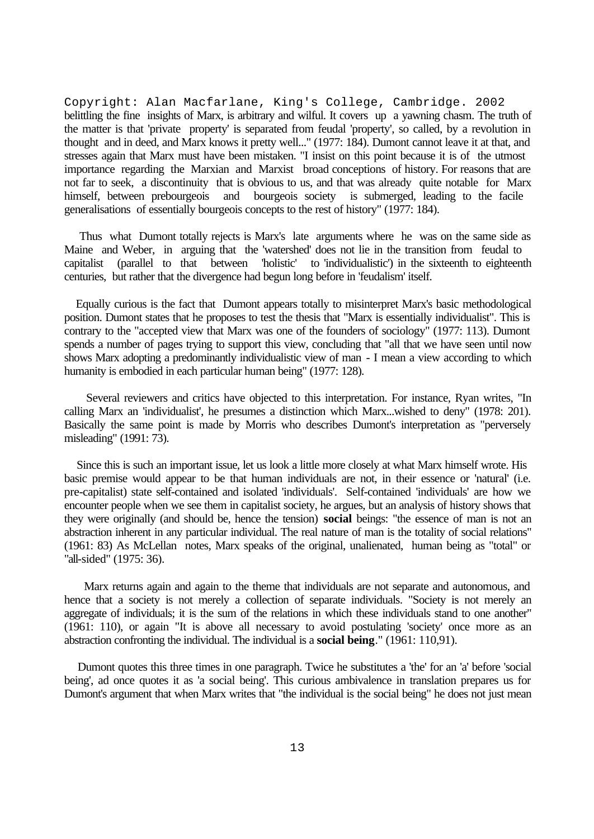Copyright: Alan Macfarlane, King's College, Cambridge. 2002 belittling the fine insights of Marx, is arbitrary and wilful. It covers up a yawning chasm. The truth of the matter is that 'private property' is separated from feudal 'property', so called, by a revolution in thought and in deed, and Marx knows it pretty well..." (1977: 184). Dumont cannot leave it at that, and stresses again that Marx must have been mistaken. "I insist on this point because it is of the utmost importance regarding the Marxian and Marxist broad conceptions of history. For reasons that are not far to seek, a discontinuity that is obvious to us, and that was already quite notable for Marx himself, between prebourgeois and bourgeois society is submerged, leading to the facile generalisations of essentially bourgeois concepts to the rest of history" (1977: 184).

 Thus what Dumont totally rejects is Marx's late arguments where he was on the same side as Maine and Weber, in arguing that the 'watershed' does not lie in the transition from feudal to capitalist (parallel to that between 'holistic' to 'individualistic') in the sixteenth to eighteenth centuries, but rather that the divergence had begun long before in 'feudalism' itself.

 Equally curious is the fact that Dumont appears totally to misinterpret Marx's basic methodological position. Dumont states that he proposes to test the thesis that "Marx is essentially individualist". This is contrary to the "accepted view that Marx was one of the founders of sociology" (1977: 113). Dumont spends a number of pages trying to support this view, concluding that "all that we have seen until now shows Marx adopting a predominantly individualistic view of man - I mean a view according to which humanity is embodied in each particular human being" (1977: 128).

 Several reviewers and critics have objected to this interpretation. For instance, Ryan writes, "In calling Marx an 'individualist', he presumes a distinction which Marx...wished to deny" (1978: 201). Basically the same point is made by Morris who describes Dumont's interpretation as "perversely misleading" (1991: 73).

 Since this is such an important issue, let us look a little more closely at what Marx himself wrote. His basic premise would appear to be that human individuals are not, in their essence or 'natural' (i.e. pre-capitalist) state self-contained and isolated 'individuals'. Self-contained 'individuals' are how we encounter people when we see them in capitalist society, he argues, but an analysis of history shows that they were originally (and should be, hence the tension) **social** beings: "the essence of man is not an abstraction inherent in any particular individual. The real nature of man is the totality of social relations" (1961: 83) As McLellan notes, Marx speaks of the original, unalienated, human being as "total" or "all-sided" (1975: 36).

 Marx returns again and again to the theme that individuals are not separate and autonomous, and hence that a society is not merely a collection of separate individuals. "Society is not merely an aggregate of individuals; it is the sum of the relations in which these individuals stand to one another" (1961: 110), or again "It is above all necessary to avoid postulating 'society' once more as an abstraction confronting the individual. The individual is a **social being**." (1961: 110,91).

 Dumont quotes this three times in one paragraph. Twice he substitutes a 'the' for an 'a' before 'social being', ad once quotes it as 'a social being'. This curious ambivalence in translation prepares us for Dumont's argument that when Marx writes that "the individual is the social being" he does not just mean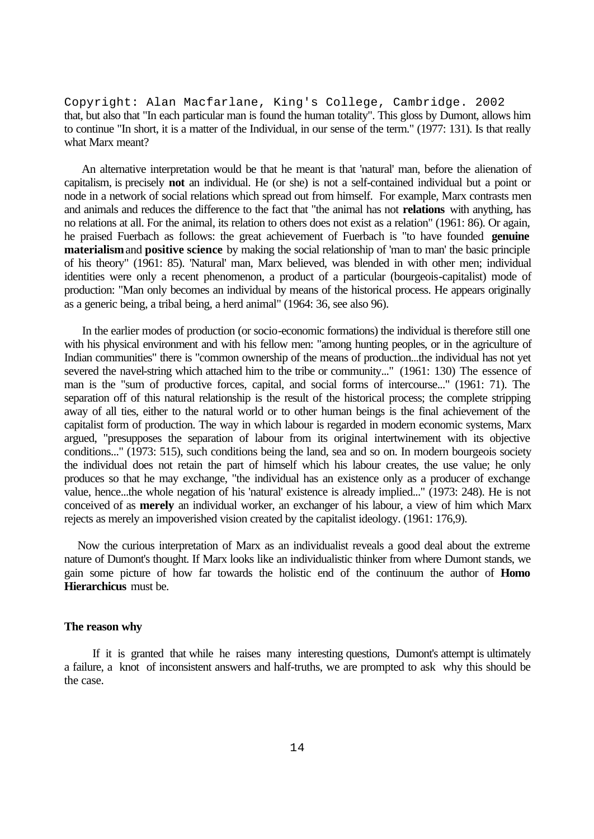Copyright: Alan Macfarlane, King's College, Cambridge. 2002 that, but also that "In each particular man is found the human totality". This gloss by Dumont, allows him to continue "In short, it is a matter of the Individual, in our sense of the term." (1977: 131). Is that really what Marx meant?

 An alternative interpretation would be that he meant is that 'natural' man, before the alienation of capitalism, is precisely **not** an individual. He (or she) is not a self-contained individual but a point or node in a network of social relations which spread out from himself. For example, Marx contrasts men and animals and reduces the difference to the fact that "the animal has not **relations** with anything, has no relations at all. For the animal, its relation to others does not exist as a relation" (1961: 86). Or again, he praised Fuerbach as follows: the great achievement of Fuerbach is "to have founded **genuine materialism** and **positive science** by making the social relationship of 'man to man' the basic principle of his theory" (1961: 85). 'Natural' man, Marx believed, was blended in with other men; individual identities were only a recent phenomenon, a product of a particular (bourgeois-capitalist) mode of production: "Man only becomes an individual by means of the historical process. He appears originally as a generic being, a tribal being, a herd animal" (1964: 36, see also 96).

 In the earlier modes of production (or socio-economic formations) the individual is therefore still one with his physical environment and with his fellow men: "among hunting peoples, or in the agriculture of Indian communities" there is "common ownership of the means of production...the individual has not yet severed the navel-string which attached him to the tribe or community..." (1961: 130) The essence of man is the "sum of productive forces, capital, and social forms of intercourse..." (1961: 71). The separation off of this natural relationship is the result of the historical process; the complete stripping away of all ties, either to the natural world or to other human beings is the final achievement of the capitalist form of production. The way in which labour is regarded in modern economic systems, Marx argued, "presupposes the separation of labour from its original intertwinement with its objective conditions..." (1973: 515), such conditions being the land, sea and so on. In modern bourgeois society the individual does not retain the part of himself which his labour creates, the use value; he only produces so that he may exchange, "the individual has an existence only as a producer of exchange value, hence...the whole negation of his 'natural' existence is already implied..." (1973: 248). He is not conceived of as **merely** an individual worker, an exchanger of his labour, a view of him which Marx rejects as merely an impoverished vision created by the capitalist ideology. (1961: 176,9).

 Now the curious interpretation of Marx as an individualist reveals a good deal about the extreme nature of Dumont's thought. If Marx looks like an individualistic thinker from where Dumont stands, we gain some picture of how far towards the holistic end of the continuum the author of **Homo Hierarchicus** must be.

#### **The reason why**

 If it is granted that while he raises many interesting questions, Dumont's attempt is ultimately a failure, a knot of inconsistent answers and half-truths, we are prompted to ask why this should be the case.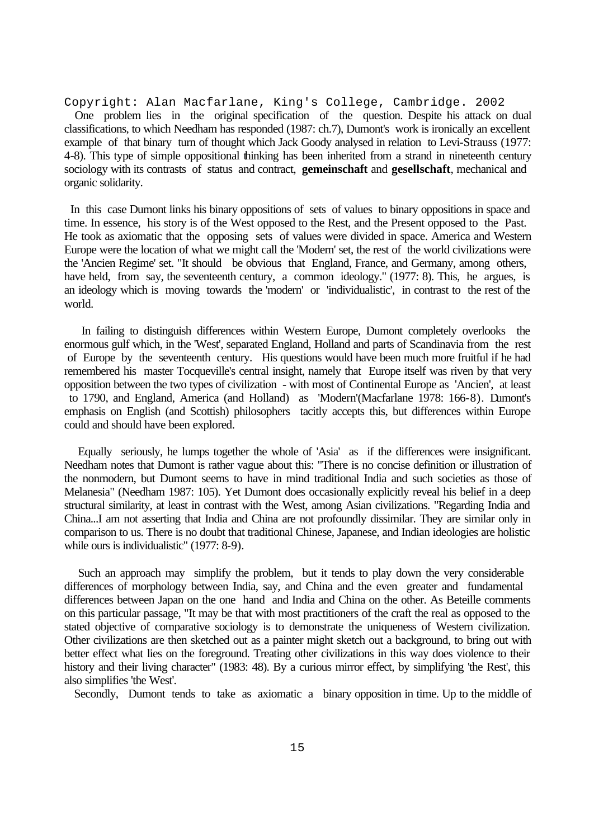Copyright: Alan Macfarlane, King's College, Cambridge. 2002 One problem lies in the original specification of the question. Despite his attack on dual classifications, to which Needham has responded (1987: ch.7), Dumont's work is ironically an excellent example of that binary turn of thought which Jack Goody analysed in relation to Levi-Strauss (1977: 4-8). This type of simple oppositional thinking has been inherited from a strand in nineteenth century sociology with its contrasts of status and contract, **gemeinschaft** and **gesellschaft**, mechanical and organic solidarity.

 In this case Dumont links his binary oppositions of sets of values to binary oppositions in space and time. In essence, his story is of the West opposed to the Rest, and the Present opposed to the Past. He took as axiomatic that the opposing sets of values were divided in space. America and Western Europe were the location of what we might call the 'Modern' set, the rest of the world civilizations were the 'Ancien Regime' set. "It should be obvious that England, France, and Germany, among others, have held, from say, the seventeenth century, a common ideology." (1977: 8). This, he argues, is an ideology which is moving towards the 'modern' or 'individualistic', in contrast to the rest of the world.

 In failing to distinguish differences within Western Europe, Dumont completely overlooks the enormous gulf which, in the 'West', separated England, Holland and parts of Scandinavia from the rest of Europe by the seventeenth century. His questions would have been much more fruitful if he had remembered his master Tocqueville's central insight, namely that Europe itself was riven by that very opposition between the two types of civilization - with most of Continental Europe as 'Ancien', at least to 1790, and England, America (and Holland) as 'Modern'(Macfarlane 1978: 166-8). Dumont's emphasis on English (and Scottish) philosophers tacitly accepts this, but differences within Europe could and should have been explored.

 Equally seriously, he lumps together the whole of 'Asia' as if the differences were insignificant. Needham notes that Dumont is rather vague about this: "There is no concise definition or illustration of the nonmodern, but Dumont seems to have in mind traditional India and such societies as those of Melanesia" (Needham 1987: 105). Yet Dumont does occasionally explicitly reveal his belief in a deep structural similarity, at least in contrast with the West, among Asian civilizations. "Regarding India and China...I am not asserting that India and China are not profoundly dissimilar. They are similar only in comparison to us. There is no doubt that traditional Chinese, Japanese, and Indian ideologies are holistic while ours is individualistic" (1977: 8-9).

 Such an approach may simplify the problem, but it tends to play down the very considerable differences of morphology between India, say, and China and the even greater and fundamental differences between Japan on the one hand and India and China on the other. As Beteille comments on this particular passage, "It may be that with most practitioners of the craft the real as opposed to the stated objective of comparative sociology is to demonstrate the uniqueness of Western civilization. Other civilizations are then sketched out as a painter might sketch out a background, to bring out with better effect what lies on the foreground. Treating other civilizations in this way does violence to their history and their living character" (1983: 48). By a curious mirror effect, by simplifying 'the Rest', this also simplifies 'the West'.

Secondly, Dumont tends to take as axiomatic a binary opposition in time. Up to the middle of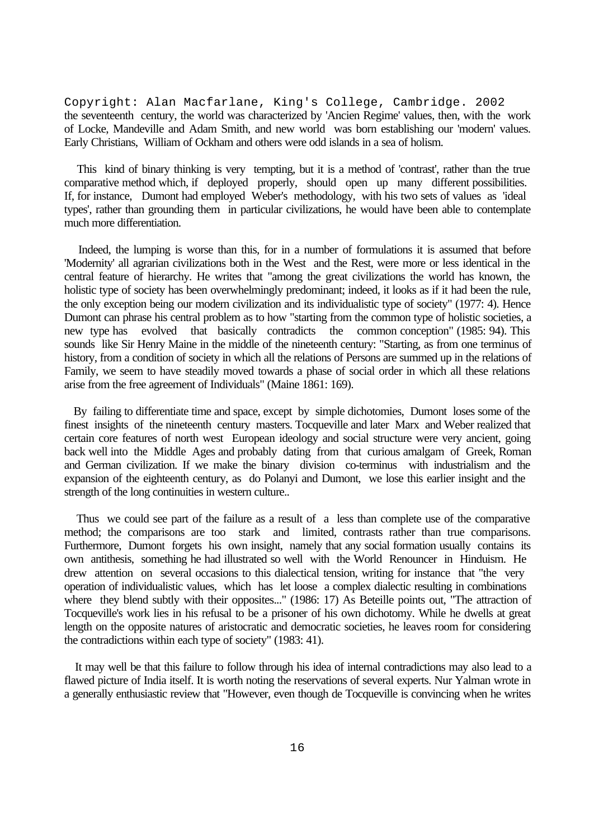Copyright: Alan Macfarlane, King's College, Cambridge. 2002 the seventeenth century, the world was characterized by 'Ancien Regime' values, then, with the work of Locke, Mandeville and Adam Smith, and new world was born establishing our 'modern' values. Early Christians, William of Ockham and others were odd islands in a sea of holism.

 This kind of binary thinking is very tempting, but it is a method of 'contrast', rather than the true comparative method which, if deployed properly, should open up many different possibilities. If, for instance, Dumont had employed Weber's methodology, with his two sets of values as 'ideal types', rather than grounding them in particular civilizations, he would have been able to contemplate much more differentiation.

 Indeed, the lumping is worse than this, for in a number of formulations it is assumed that before 'Modernity' all agrarian civilizations both in the West and the Rest, were more or less identical in the central feature of hierarchy. He writes that "among the great civilizations the world has known, the holistic type of society has been overwhelmingly predominant; indeed, it looks as if it had been the rule, the only exception being our modern civilization and its individualistic type of society" (1977: 4). Hence Dumont can phrase his central problem as to how "starting from the common type of holistic societies, a new type has evolved that basically contradicts the common conception" (1985: 94). This sounds like Sir Henry Maine in the middle of the nineteenth century: "Starting, as from one terminus of history, from a condition of society in which all the relations of Persons are summed up in the relations of Family, we seem to have steadily moved towards a phase of social order in which all these relations arise from the free agreement of Individuals" (Maine 1861: 169).

 By failing to differentiate time and space, except by simple dichotomies, Dumont loses some of the finest insights of the nineteenth century masters. Tocqueville and later Marx and Weber realized that certain core features of north west European ideology and social structure were very ancient, going back well into the Middle Ages and probably dating from that curious amalgam of Greek, Roman and German civilization. If we make the binary division co-terminus with industrialism and the expansion of the eighteenth century, as do Polanyi and Dumont, we lose this earlier insight and the strength of the long continuities in western culture..

 Thus we could see part of the failure as a result of a less than complete use of the comparative method; the comparisons are too stark and limited, contrasts rather than true comparisons. Furthermore, Dumont forgets his own insight, namely that any social formation usually contains its own antithesis, something he had illustrated so well with the World Renouncer in Hinduism. He drew attention on several occasions to this dialectical tension, writing for instance that "the very operation of individualistic values, which has let loose a complex dialectic resulting in combinations where they blend subtly with their opposites..." (1986: 17) As Beteille points out, "The attraction of Tocqueville's work lies in his refusal to be a prisoner of his own dichotomy. While he dwells at great length on the opposite natures of aristocratic and democratic societies, he leaves room for considering the contradictions within each type of society" (1983: 41).

 It may well be that this failure to follow through his idea of internal contradictions may also lead to a flawed picture of India itself. It is worth noting the reservations of several experts. Nur Yalman wrote in a generally enthusiastic review that "However, even though de Tocqueville is convincing when he writes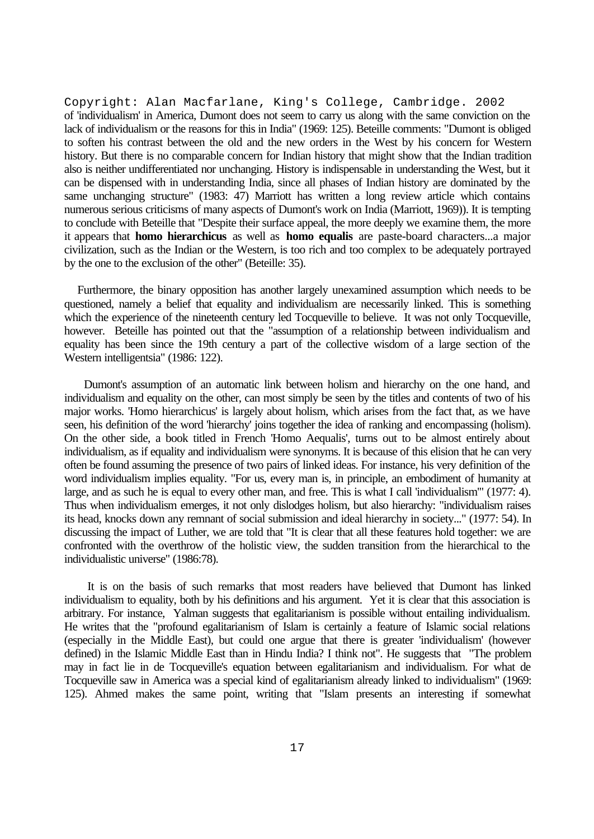Copyright: Alan Macfarlane, King's College, Cambridge. 2002 of 'individualism' in America, Dumont does not seem to carry us along with the same conviction on the lack of individualism or the reasons for this in India" (1969: 125). Beteille comments: "Dumont is obliged to soften his contrast between the old and the new orders in the West by his concern for Western history. But there is no comparable concern for Indian history that might show that the Indian tradition also is neither undifferentiated nor unchanging. History is indispensable in understanding the West, but it can be dispensed with in understanding India, since all phases of Indian history are dominated by the same unchanging structure" (1983: 47) Marriott has written a long review article which contains numerous serious criticisms of many aspects of Dumont's work on India (Marriott, 1969)). It is tempting to conclude with Beteille that "Despite their surface appeal, the more deeply we examine them, the more it appears that **homo hierarchicus** as well as **homo equalis** are paste-board characters...a major civilization, such as the Indian or the Western, is too rich and too complex to be adequately portrayed by the one to the exclusion of the other" (Beteille: 35).

 Furthermore, the binary opposition has another largely unexamined assumption which needs to be questioned, namely a belief that equality and individualism are necessarily linked. This is something which the experience of the nineteenth century led Tocqueville to believe. It was not only Tocqueville, however. Beteille has pointed out that the "assumption of a relationship between individualism and equality has been since the 19th century a part of the collective wisdom of a large section of the Western intelligentsia" (1986: 122).

 Dumont's assumption of an automatic link between holism and hierarchy on the one hand, and individualism and equality on the other, can most simply be seen by the titles and contents of two of his major works. 'Homo hierarchicus' is largely about holism, which arises from the fact that, as we have seen, his definition of the word 'hierarchy' joins together the idea of ranking and encompassing (holism). On the other side, a book titled in French 'Homo Aequalis', turns out to be almost entirely about individualism, as if equality and individualism were synonyms. It is because of this elision that he can very often be found assuming the presence of two pairs of linked ideas. For instance, his very definition of the word individualism implies equality. "For us, every man is, in principle, an embodiment of humanity at large, and as such he is equal to every other man, and free. This is what I call 'individualism'" (1977: 4). Thus when individualism emerges, it not only dislodges holism, but also hierarchy: "individualism raises its head, knocks down any remnant of social submission and ideal hierarchy in society..." (1977: 54). In discussing the impact of Luther, we are told that "It is clear that all these features hold together: we are confronted with the overthrow of the holistic view, the sudden transition from the hierarchical to the individualistic universe" (1986:78).

 It is on the basis of such remarks that most readers have believed that Dumont has linked individualism to equality, both by his definitions and his argument. Yet it is clear that this association is arbitrary. For instance, Yalman suggests that egalitarianism is possible without entailing individualism. He writes that the "profound egalitarianism of Islam is certainly a feature of Islamic social relations (especially in the Middle East), but could one argue that there is greater 'individualism' (however defined) in the Islamic Middle East than in Hindu India? I think not". He suggests that "The problem may in fact lie in de Tocqueville's equation between egalitarianism and individualism. For what de Tocqueville saw in America was a special kind of egalitarianism already linked to individualism" (1969: 125). Ahmed makes the same point, writing that "Islam presents an interesting if somewhat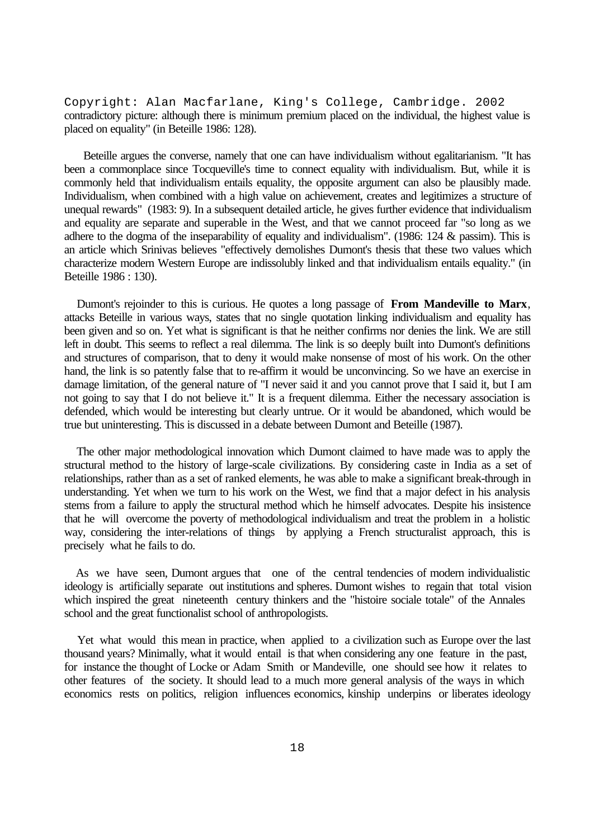Copyright: Alan Macfarlane, King's College, Cambridge. 2002 contradictory picture: although there is minimum premium placed on the individual, the highest value is placed on equality" (in Beteille 1986: 128).

 Beteille argues the converse, namely that one can have individualism without egalitarianism. "It has been a commonplace since Tocqueville's time to connect equality with individualism. But, while it is commonly held that individualism entails equality, the opposite argument can also be plausibly made. Individualism, when combined with a high value on achievement, creates and legitimizes a structure of unequal rewards" (1983: 9). In a subsequent detailed article, he gives further evidence that individualism and equality are separate and superable in the West, and that we cannot proceed far "so long as we adhere to the dogma of the inseparability of equality and individualism". (1986: 124 & passim). This is an article which Srinivas believes "effectively demolishes Dumont's thesis that these two values which characterize modern Western Europe are indissolubly linked and that individualism entails equality." (in Beteille 1986 : 130).

 Dumont's rejoinder to this is curious. He quotes a long passage of **From Mandeville to Marx**, attacks Beteille in various ways, states that no single quotation linking individualism and equality has been given and so on. Yet what is significant is that he neither confirms nor denies the link. We are still left in doubt. This seems to reflect a real dilemma. The link is so deeply built into Dumont's definitions and structures of comparison, that to deny it would make nonsense of most of his work. On the other hand, the link is so patently false that to re-affirm it would be unconvincing. So we have an exercise in damage limitation, of the general nature of "I never said it and you cannot prove that I said it, but I am not going to say that I do not believe it." It is a frequent dilemma. Either the necessary association is defended, which would be interesting but clearly untrue. Or it would be abandoned, which would be true but uninteresting. This is discussed in a debate between Dumont and Beteille (1987).

 The other major methodological innovation which Dumont claimed to have made was to apply the structural method to the history of large-scale civilizations. By considering caste in India as a set of relationships, rather than as a set of ranked elements, he was able to make a significant break-through in understanding. Yet when we turn to his work on the West, we find that a major defect in his analysis stems from a failure to apply the structural method which he himself advocates. Despite his insistence that he will overcome the poverty of methodological individualism and treat the problem in a holistic way, considering the inter-relations of things by applying a French structuralist approach, this is precisely what he fails to do.

 As we have seen, Dumont argues that one of the central tendencies of modern individualistic ideology is artificially separate out institutions and spheres. Dumont wishes to regain that total vision which inspired the great nineteenth century thinkers and the "histoire sociale totale" of the Annales school and the great functionalist school of anthropologists.

 Yet what would this mean in practice, when applied to a civilization such as Europe over the last thousand years? Minimally, what it would entail is that when considering any one feature in the past, for instance the thought of Locke or Adam Smith or Mandeville, one should see how it relates to other features of the society. It should lead to a much more general analysis of the ways in which economics rests on politics, religion influences economics, kinship underpins or liberates ideology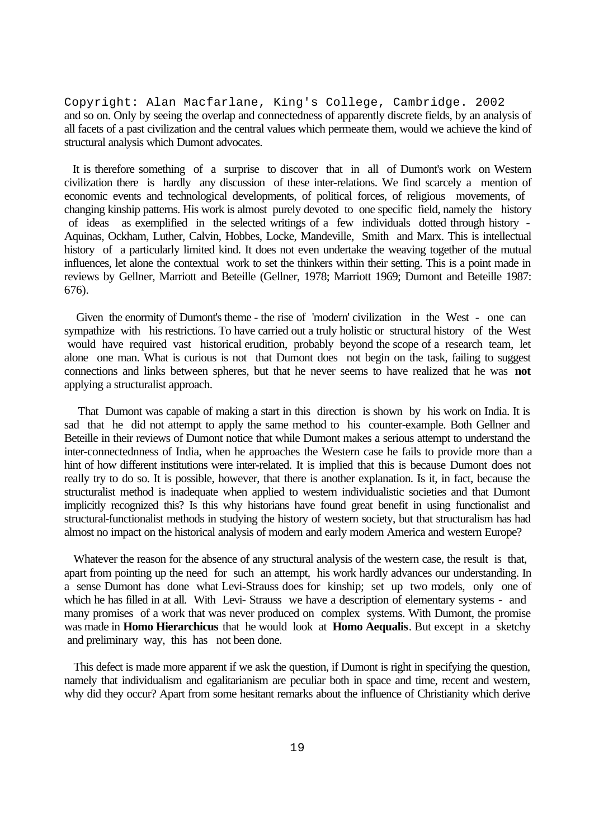Copyright: Alan Macfarlane, King's College, Cambridge. 2002 and so on. Only by seeing the overlap and connectedness of apparently discrete fields, by an analysis of all facets of a past civilization and the central values which permeate them, would we achieve the kind of structural analysis which Dumont advocates.

 It is therefore something of a surprise to discover that in all of Dumont's work on Western civilization there is hardly any discussion of these inter-relations. We find scarcely a mention of economic events and technological developments, of political forces, of religious movements, of changing kinship patterns. His work is almost purely devoted to one specific field, namely the history of ideas as exemplified in the selected writings of a few individuals dotted through history - Aquinas, Ockham, Luther, Calvin, Hobbes, Locke, Mandeville, Smith and Marx. This is intellectual history of a particularly limited kind. It does not even undertake the weaving together of the mutual influences, let alone the contextual work to set the thinkers within their setting. This is a point made in reviews by Gellner, Marriott and Beteille (Gellner, 1978; Marriott 1969; Dumont and Beteille 1987: 676).

 Given the enormity of Dumont's theme - the rise of 'modern' civilization in the West - one can sympathize with his restrictions. To have carried out a truly holistic or structural history of the West would have required vast historical erudition, probably beyond the scope of a research team, let alone one man. What is curious is not that Dumont does not begin on the task, failing to suggest connections and links between spheres, but that he never seems to have realized that he was **not** applying a structuralist approach.

 That Dumont was capable of making a start in this direction is shown by his work on India. It is sad that he did not attempt to apply the same method to his counter-example. Both Gellner and Beteille in their reviews of Dumont notice that while Dumont makes a serious attempt to understand the inter-connectednness of India, when he approaches the Western case he fails to provide more than a hint of how different institutions were inter-related. It is implied that this is because Dumont does not really try to do so. It is possible, however, that there is another explanation. Is it, in fact, because the structuralist method is inadequate when applied to western individualistic societies and that Dumont implicitly recognized this? Is this why historians have found great benefit in using functionalist and structural-functionalist methods in studying the history of western society, but that structuralism has had almost no impact on the historical analysis of modern and early modern America and western Europe?

 Whatever the reason for the absence of any structural analysis of the western case, the result is that, apart from pointing up the need for such an attempt, his work hardly advances our understanding. In a sense Dumont has done what Levi-Strauss does for kinship; set up two models, only one of which he has filled in at all. With Levi- Strauss we have a description of elementary systems - and many promises of a work that was never produced on complex systems. With Dumont, the promise was made in **Homo Hierarchicus** that he would look at **Homo Aequalis**. But except in a sketchy and preliminary way, this has not been done.

 This defect is made more apparent if we ask the question, if Dumont is right in specifying the question, namely that individualism and egalitarianism are peculiar both in space and time, recent and western, why did they occur? Apart from some hesitant remarks about the influence of Christianity which derive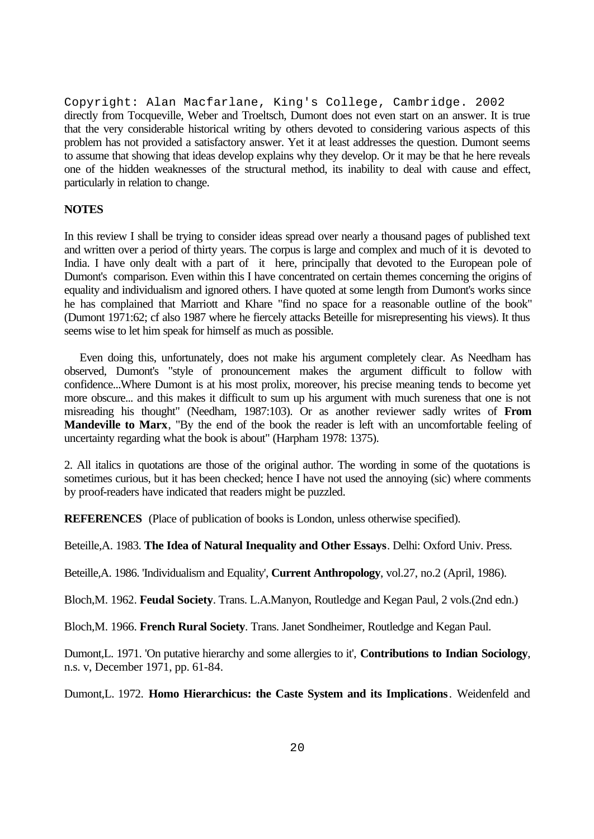Copyright: Alan Macfarlane, King's College, Cambridge. 2002 directly from Tocqueville, Weber and Troeltsch, Dumont does not even start on an answer. It is true that the very considerable historical writing by others devoted to considering various aspects of this problem has not provided a satisfactory answer. Yet it at least addresses the question. Dumont seems to assume that showing that ideas develop explains why they develop. Or it may be that he here reveals one of the hidden weaknesses of the structural method, its inability to deal with cause and effect, particularly in relation to change.

# **NOTES**

In this review I shall be trying to consider ideas spread over nearly a thousand pages of published text and written over a period of thirty years. The corpus is large and complex and much of it is devoted to India. I have only dealt with a part of it here, principally that devoted to the European pole of Dumont's comparison. Even within this I have concentrated on certain themes concerning the origins of equality and individualism and ignored others. I have quoted at some length from Dumont's works since he has complained that Marriott and Khare "find no space for a reasonable outline of the book" (Dumont 1971:62; cf also 1987 where he fiercely attacks Beteille for misrepresenting his views). It thus seems wise to let him speak for himself as much as possible.

 Even doing this, unfortunately, does not make his argument completely clear. As Needham has observed, Dumont's "style of pronouncement makes the argument difficult to follow with confidence...Where Dumont is at his most prolix, moreover, his precise meaning tends to become yet more obscure... and this makes it difficult to sum up his argument with much sureness that one is not misreading his thought" (Needham, 1987:103). Or as another reviewer sadly writes of **From Mandeville to Marx**, "By the end of the book the reader is left with an uncomfortable feeling of uncertainty regarding what the book is about" (Harpham 1978: 1375).

2. All italics in quotations are those of the original author. The wording in some of the quotations is sometimes curious, but it has been checked; hence I have not used the annoying (sic) where comments by proof-readers have indicated that readers might be puzzled.

**REFERENCES** (Place of publication of books is London, unless otherwise specified).

Beteille,A. 1983. **The Idea of Natural Inequality and Other Essays**. Delhi: Oxford Univ. Press.

Beteille,A. 1986. 'Individualism and Equality', **Current Anthropology**, vol.27, no.2 (April, 1986).

Bloch,M. 1962. **Feudal Society**. Trans. L.A.Manyon, Routledge and Kegan Paul, 2 vols.(2nd edn.)

Bloch,M. 1966. **French Rural Society**. Trans. Janet Sondheimer, Routledge and Kegan Paul.

Dumont,L. 1971. 'On putative hierarchy and some allergies to it', **Contributions to Indian Sociology**, n.s. v, December 1971, pp. 61-84.

Dumont,L. 1972. **Homo Hierarchicus: the Caste System and its Implications**. Weidenfeld and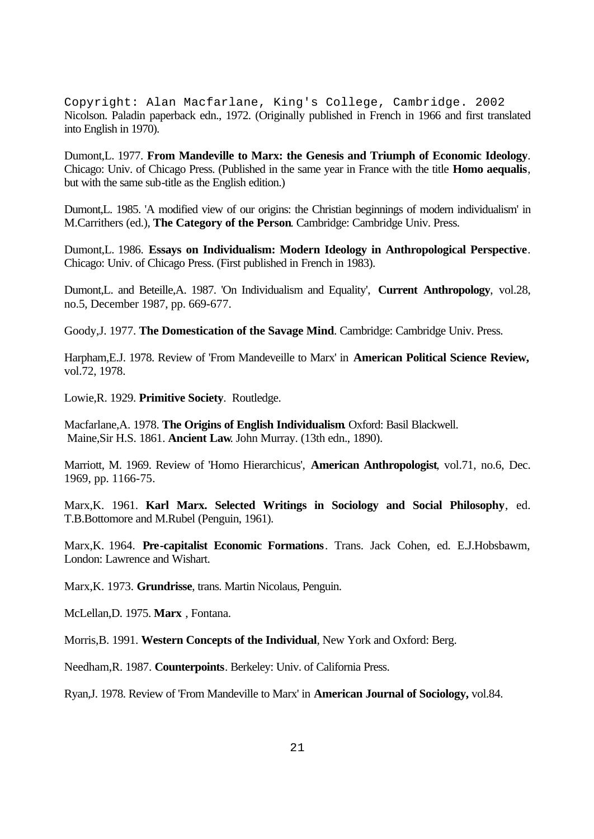Copyright: Alan Macfarlane, King's College, Cambridge. 2002 Nicolson. Paladin paperback edn., 1972. (Originally published in French in 1966 and first translated into English in 1970).

Dumont,L. 1977. **From Mandeville to Marx: the Genesis and Triumph of Economic Ideology**. Chicago: Univ. of Chicago Press. (Published in the same year in France with the title **Homo aequalis**, but with the same sub-title as the English edition.)

Dumont,L. 1985. 'A modified view of our origins: the Christian beginnings of modern individualism' in M.Carrithers (ed.), **The Category of the Person**. Cambridge: Cambridge Univ. Press.

Dumont,L. 1986. **Essays on Individualism: Modern Ideology in Anthropological Perspective**. Chicago: Univ. of Chicago Press. (First published in French in 1983).

Dumont,L. and Beteille,A. 1987. 'On Individualism and Equality', **Current Anthropology**, vol.28, no.5, December 1987, pp. 669-677.

Goody,J. 1977. **The Domestication of the Savage Mind**. Cambridge: Cambridge Univ. Press.

Harpham,E.J. 1978. Review of 'From Mandeveille to Marx' in **American Political Science Review,** vol.72, 1978.

Lowie,R. 1929. **Primitive Society**. Routledge.

Macfarlane,A. 1978. **The Origins of English Individualism**. Oxford: Basil Blackwell. Maine,Sir H.S. 1861. **Ancient Law**. John Murray. (13th edn., 1890).

Marriott, M. 1969. Review of 'Homo Hierarchicus', **American Anthropologist**, vol.71, no.6, Dec. 1969, pp. 1166-75.

Marx,K. 1961. **Karl Marx. Selected Writings in Sociology and Social Philosophy**, ed. T.B.Bottomore and M.Rubel (Penguin, 1961).

Marx,K. 1964. **Pre-capitalist Economic Formations**. Trans. Jack Cohen, ed. E.J.Hobsbawm, London: Lawrence and Wishart.

Marx,K. 1973. **Grundrisse**, trans. Martin Nicolaus, Penguin.

McLellan,D. 1975. **Marx** , Fontana.

Morris,B. 1991. **Western Concepts of the Individual**, New York and Oxford: Berg.

Needham,R. 1987. **Counterpoints**. Berkeley: Univ. of California Press.

Ryan,J. 1978. Review of 'From Mandeville to Marx' in **American Journal of Sociology,** vol.84.